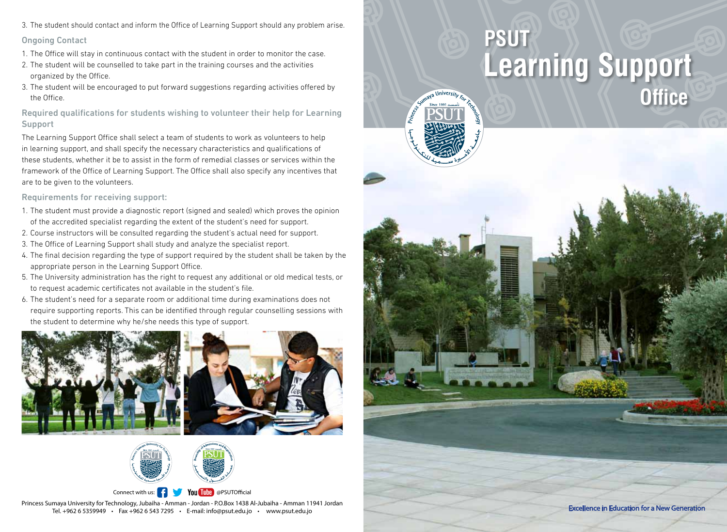3. The student should contact and inform the Office of Learning Support should any problem arise.

#### Ongoing Contact

- 1. The Office will stay in continuous contact with the student in order to monitor the case.
- 2. The student will be counselled to take part in the training courses and the activities organized by the Office.
- 3. The student will be encouraged to put forward suggestions regarding activities offered by the Office.

Required qualifications for students wishing to volunteer their help for Learning Support

The Learning Support Office shall select a team of students to work as volunteers to help in learning support, and shall specify the necessary characteristics and qualifications of these students, whether it be to assist in the form of remedial classes or services within the framework of the Office of Learning Support. The Office shall also specify any incentives that are to be given to the volunteers.

#### Requirements for receiving support:

- 1. The student must provide a diagnostic report (signed and sealed) which proves the opinion of the accredited specialist regarding the extent of the student's need for support.
- 2. Course instructors will be consulted regarding the student's actual need for support.
- 3. The Office of Learning Support shall study and analyze the specialist report.
- 4. The final decision regarding the type of support required by the student shall be taken by the appropriate person in the Learning Support Office.
- 5. The University administration has the right to request any additional or old medical tests, or to request academic certificates not available in the student's file.
- 6. The student's need for a separate room or additional time during examinations does not require supporting reports. This can be identified through regular counselling sessions with the student to determine why he/she needs this type of support.





Princess Sumaya University for Technology, Jubaiha - Amman - Jordan - P.O.Box 1438 Al-Jubaiha - Amman 11941 Jordan Connect with us:  $\frac{1}{2}$  You Tube @PSUTOfficial

Tel. +962 6 5359949 • Fax +962 6 543 7295 • E-mail: info@psut.edu.jo • www.psut.edu.jo

# **Learning Support Office PSUT**